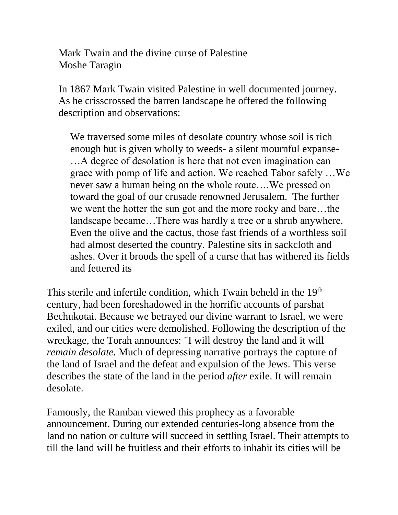Mark Twain and the divine curse of Palestine Moshe Taragin

In 1867 Mark Twain visited Palestine in well documented journey. As he crisscrossed the barren landscape he offered the following description and observations:

We traversed some miles of desolate country whose soil is rich enough but is given wholly to weeds- a silent mournful expanse- …A degree of desolation is here that not even imagination can grace with pomp of life and action. We reached Tabor safely …We never saw a human being on the whole route….We pressed on toward the goal of our crusade renowned Jerusalem. The further we went the hotter the sun got and the more rocky and bare…the landscape became…There was hardly a tree or a shrub anywhere. Even the olive and the cactus, those fast friends of a worthless soil had almost deserted the country. Palestine sits in sackcloth and ashes. Over it broods the spell of a curse that has withered its fields and fettered its

This sterile and infertile condition, which Twain beheld in the 19<sup>th</sup> century, had been foreshadowed in the horrific accounts of parshat Bechukotai. Because we betrayed our divine warrant to Israel, we were exiled, and our cities were demolished. Following the description of the wreckage, the Torah announces: "I will destroy the land and it will *remain desolate.* Much of depressing narrative portrays the capture of the land of Israel and the defeat and expulsion of the Jews. This verse describes the state of the land in the period *after* exile. It will remain desolate.

Famously, the Ramban viewed this prophecy as a favorable announcement. During our extended centuries-long absence from the land no nation or culture will succeed in settling Israel. Their attempts to till the land will be fruitless and their efforts to inhabit its cities will be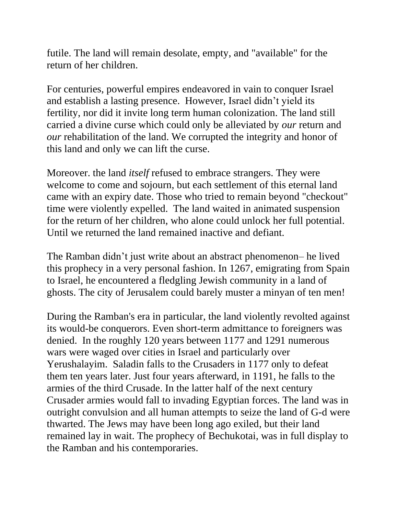futile. The land will remain desolate, empty, and "available" for the return of her children.

For centuries, powerful empires endeavored in vain to conquer Israel and establish a lasting presence. However, Israel didn't yield its fertility, nor did it invite long term human colonization. The land still carried a divine curse which could only be alleviated by *our* return and *our* rehabilitation of the land. We corrupted the integrity and honor of this land and only we can lift the curse.

Moreover. the land *itself* refused to embrace strangers. They were welcome to come and sojourn, but each settlement of this eternal land came with an expiry date. Those who tried to remain beyond "checkout" time were violently expelled. The land waited in animated suspension for the return of her children, who alone could unlock her full potential. Until we returned the land remained inactive and defiant.

The Ramban didn't just write about an abstract phenomenon– he lived this prophecy in a very personal fashion. In 1267, emigrating from Spain to Israel, he encountered a fledgling Jewish community in a land of ghosts. The city of Jerusalem could barely muster a minyan of ten men!

During the Ramban's era in particular, the land violently revolted against its would-be conquerors. Even short-term admittance to foreigners was denied. In the roughly 120 years between 1177 and 1291 numerous wars were waged over cities in Israel and particularly over Yerushalayim. Saladin falls to the Crusaders in 1177 only to defeat them ten years later. Just four years afterward, in 1191, he falls to the armies of the third Crusade. In the latter half of the next century Crusader armies would fall to invading Egyptian forces. The land was in outright convulsion and all human attempts to seize the land of G-d were thwarted. The Jews may have been long ago exiled, but their land remained lay in wait. The prophecy of Bechukotai, was in full display to the Ramban and his contemporaries.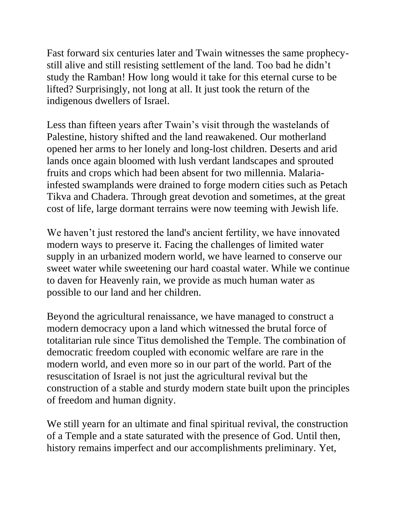Fast forward six centuries later and Twain witnesses the same prophecystill alive and still resisting settlement of the land. Too bad he didn't study the Ramban! How long would it take for this eternal curse to be lifted? Surprisingly, not long at all. It just took the return of the indigenous dwellers of Israel.

Less than fifteen years after Twain's visit through the wastelands of Palestine, history shifted and the land reawakened. Our motherland opened her arms to her lonely and long-lost children. Deserts and arid lands once again bloomed with lush verdant landscapes and sprouted fruits and crops which had been absent for two millennia. Malariainfested swamplands were drained to forge modern cities such as Petach Tikva and Chadera. Through great devotion and sometimes, at the great cost of life, large dormant terrains were now teeming with Jewish life.

We haven't just restored the land's ancient fertility, we have innovated modern ways to preserve it. Facing the challenges of limited water supply in an urbanized modern world, we have learned to conserve our sweet water while sweetening our hard coastal water. While we continue to daven for Heavenly rain, we provide as much human water as possible to our land and her children.

Beyond the agricultural renaissance, we have managed to construct a modern democracy upon a land which witnessed the brutal force of totalitarian rule since Titus demolished the Temple. The combination of democratic freedom coupled with economic welfare are rare in the modern world, and even more so in our part of the world. Part of the resuscitation of Israel is not just the agricultural revival but the construction of a stable and sturdy modern state built upon the principles of freedom and human dignity.

We still yearn for an ultimate and final spiritual revival, the construction of a Temple and a state saturated with the presence of God. Until then, history remains imperfect and our accomplishments preliminary. Yet,